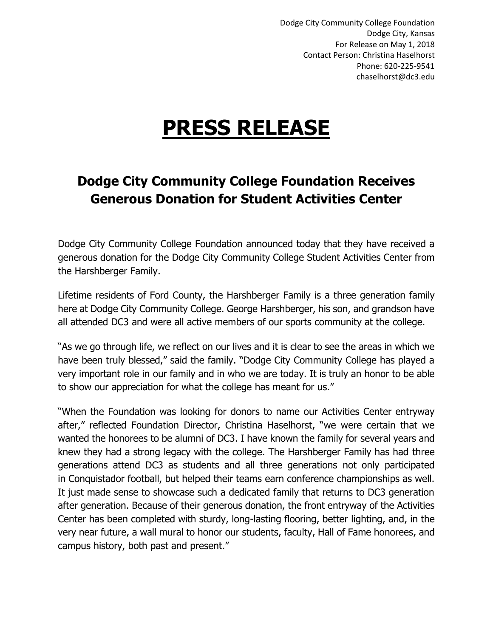Dodge City Community College Foundation Dodge City, Kansas For Release on May 1, 2018 Contact Person: Christina Haselhorst Phone: 620-225-9541 chaselhorst@dc3.edu

## **PRESS RELEASE**

## **Dodge City Community College Foundation Receives Generous Donation for Student Activities Center**

Dodge City Community College Foundation announced today that they have received a generous donation for the Dodge City Community College Student Activities Center from the Harshberger Family.

Lifetime residents of Ford County, the Harshberger Family is a three generation family here at Dodge City Community College. George Harshberger, his son, and grandson have all attended DC3 and were all active members of our sports community at the college.

"As we go through life, we reflect on our lives and it is clear to see the areas in which we have been truly blessed," said the family. "Dodge City Community College has played a very important role in our family and in who we are today. It is truly an honor to be able to show our appreciation for what the college has meant for us."

"When the Foundation was looking for donors to name our Activities Center entryway after," reflected Foundation Director, Christina Haselhorst, "we were certain that we wanted the honorees to be alumni of DC3. I have known the family for several years and knew they had a strong legacy with the college. The Harshberger Family has had three generations attend DC3 as students and all three generations not only participated in Conquistador football, but helped their teams earn conference championships as well. It just made sense to showcase such a dedicated family that returns to DC3 generation after generation. Because of their generous donation, the front entryway of the Activities Center has been completed with sturdy, long-lasting flooring, better lighting, and, in the very near future, a wall mural to honor our students, faculty, Hall of Fame honorees, and campus history, both past and present."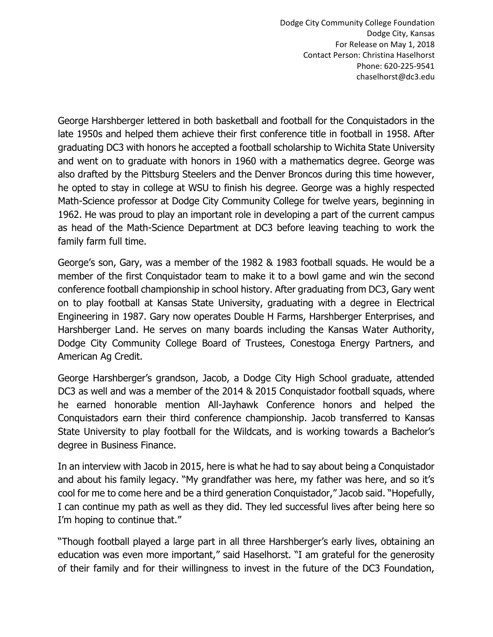Dodge City Community College Foundation Dodge City, Kansas For Release on May 1, 2018 Contact Person: Christina Haselhorst Phone: 620-225-9541 chaselhorst@dc3.edu

George Harshberger lettered in both basketball and football for the Conquistadors in the late 1950s and helped them achieve their first conference title in football in 1958. After graduating DC3 with honors he accepted a football scholarship to Wichita State University and went on to graduate with honors in 1960 with a mathematics degree. George was also drafted by the Pittsburg Steelers and the Denver Broncos during this time however, he opted to stay in college at WSU to finish his degree. George was a highly respected Math-Science professor at Dodge City Community College for twelve years, beginning in 1962. He was proud to play an important role in developing a part of the current campus as head of the Math-Science Department at DC3 before leaving teaching to work the family farm full time.

George's son, Gary, was a member of the 1982 & 1983 football squads. He would be a member of the first Conquistador team to make it to a bowl game and win the second conference football championship in school history. After graduating from DC3, Gary went on to play football at Kansas State University, graduating with a degree in Electrical Engineering in 1987. Gary now operates Double H Farms, Harshberger Enterprises, and Harshberger Land. He serves on many boards including the Kansas Water Authority, Dodge City Community College Board of Trustees, Conestoga Energy Partners, and American Ag Credit.

George Harshberger's grandson, Jacob, a Dodge City High School graduate, attended DC3 as well and was a member of the 2014 & 2015 Conquistador football squads, where he earned honorable mention All-Jayhawk Conference honors and helped the Conquistadors earn their third conference championship. Jacob transferred to Kansas State University to play football for the Wildcats, and is working towards a Bachelor's degree in Business Finance.

In an interview with Jacob in 2015, here is what he had to say about being a Conquistador and about his family legacy. "My grandfather was here, my father was here, and so it's cool for me to come here and be a third generation Conquistador," Jacob said. "Hopefully, I can continue my path as well as they did. They led successful lives after being here so I'm hoping to continue that."

"Though football played a large part in all three Harshberger's early lives, obtaining an education was even more important," said Haselhorst. "I am grateful for the generosity of their family and for their willingness to invest in the future of the DC3 Foundation,